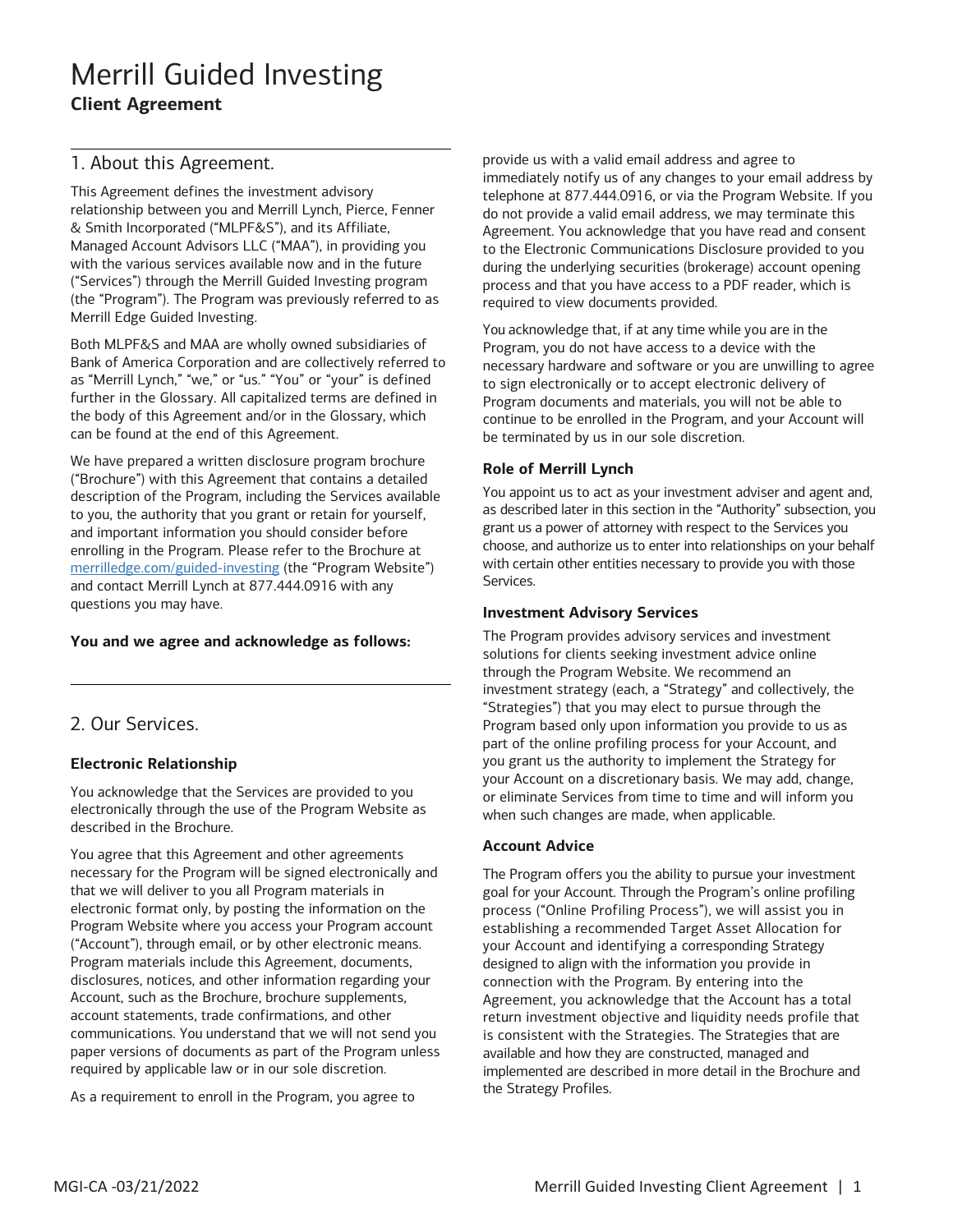### 1. About this Agreement.

This Agreement defines the investment advisory relationship between you and Merrill Lynch, Pierce, Fenner & Smith Incorporated ("MLPF&S"), and its Affiliate, Managed Account Advisors LLC ("MAA"), in providing you with the various services available now and in the future ("Services") through the Merrill Guided Investing program (the "Program"). The Program was previously referred to as Merrill Edge Guided Investing.

 Both MLPF&S and MAA are wholly owned subsidiaries of Bank of America Corporation and are collectively referred to as "Merrill Lynch," "we," or "us." "You" or "your" is defined further in the Glossary. All capitalized terms are defined in the body of this Agreement and/or in the Glossary, which can be found at the end of this Agreement.

 description of the Program, including the Services available to you, the authority that you grant or retain for yourself, enrolling in the Program. Please refer to the Brochure at and contact Merrill Lynch at 877.444.0916 with any questions you may have. We have prepared a written disclosure program brochure ("Brochure") with this Agreement that contains a detailed and important information you should consider before [merrilledge.com/guided-investing](http://www.merrilledge.com/guided-investing) (the "Program Website")

#### **You and we agree and acknowledge as follows:**

### 2. Our Services.

### **Electronic Relationship**

 electronically through the use of the Program Website as You acknowledge that the Services are provided to you described in the Brochure.

 necessary for the Program will be signed electronically and that we will deliver to you all Program materials in ("Account"), through email, or by other electronic means. account statements, trade confirmations, and other paper versions of documents as part of the Program unless required by applicable law or in our sole discretion. You agree that this Agreement and other agreements electronic format only, by posting the information on the Program Website where you access your Program account Program materials include this Agreement, documents, disclosures, notices, and other information regarding your Account, such as the Brochure, brochure supplements, communications. You understand that we will not send you

As a requirement to enroll in the Program, you agree to

 provide us with a valid email address and agree to immediately notify us of any changes to your email address by do not provide a valid email address, we may terminate this Agreement. You acknowledge that you have read and consent during the underlying securities (brokerage) account opening telephone at 877.444.0916, or via the Program Website. If you to the Electronic Communications Disclosure provided to you process and that you have access to a PDF reader, which is required to view documents provided.

 You acknowledge that, if at any time while you are in the Program, you do not have access to a device with the Program documents and materials, you will not be able to continue to be enrolled in the Program, and your Account will necessary hardware and software or you are unwilling to agree to sign electronically or to accept electronic delivery of be terminated by us in our sole discretion.

#### **Role of Merrill Lynch**

 You appoint us to act as your investment adviser and agent and, as described later in this section in the "Authority" subsection, you grant us a power of attorney with respect to the Services you choose, and authorize us to enter into relationships on your behalf with certain other entities necessary to provide you with those Services.

#### **Investment Advisory Services**

 The Program provides advisory services and investment "Strategies") that you may elect to pursue through the part of the online profiling process for your Account, and your Account on a discretionary basis. We may add, change, or eliminate Services from time to time and will inform you solutions for clients seeking investment advice online through the Program Website. We recommend an investment strategy (each, a "Strategy" and collectively, the Program based only upon information you provide to us as you grant us the authority to implement the Strategy for when such changes are made, when applicable.

#### **Account Advice**

 your Account and identifying a corresponding Strategy designed to align with the information you provide in is consistent with the Strategies. The Strategies that are available and how they are constructed, managed and implemented are described in more detail in the Brochure and the Strategy Profiles. The Program offers you the ability to pursue your investment goal for your Account. Through the Program's online profiling process ("Online Profiling Process"), we will assist you in establishing a recommended Target Asset Allocation for connection with the Program. By entering into the Agreement, you acknowledge that the Account has a total return investment objective and liquidity needs profile that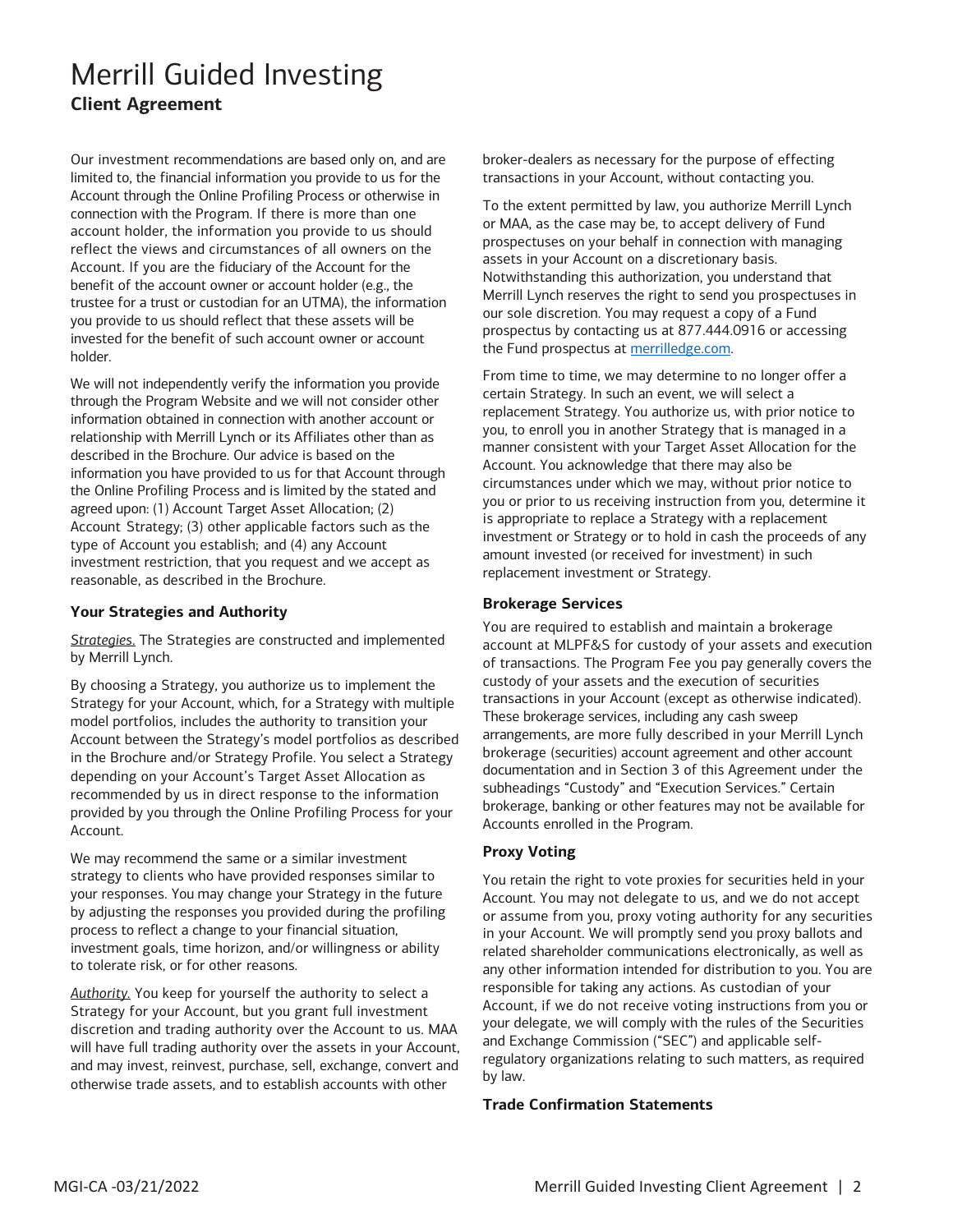limited to, the financial information you provide to us for the Account through the Online Profiling Process or otherwise in connection with the Program. If there is more than one Account. If you are the fiduciary of the Account for the benefit of the account owner or account holder (e.g., the trustee for a trust or custodian for an UTMA), the information invested for the benefit of such account owner or account holder. Our investment recommendations are based only on, and are account holder, the information you provide to us should reflect the views and circumstances of all owners on the you provide to us should reflect that these assets will be

holder.<br>We will not independently verify the information you provide through the Program Website and we will not consider other information obtained in connection with another account or described in the Brochure. Our advice is based on the information you have provided to us for that Account through Account Strategy; (3) other applicable factors such as the type of Account you establish; and (4) any Account reasonable, as described in the Brochure. relationship with Merrill Lynch or its Affiliates other than as the Online Profiling Process and is limited by the stated and agreed upon: (1) Account Target Asset Allocation; (2) investment restriction, that you request and we accept as

#### **Your Strategies and Authority**

*Strategies*. The Strategies are constructed and implemented by Merrill Lynch.

 Strategy for your Account, which, for a Strategy with multiple Account. By choosing a Strategy, you authorize us to implement the model portfolios, includes the authority to transition your Account between the Strategy's model portfolios as described in the Brochure and/or Strategy Profile. You select a Strategy depending on your Account's Target Asset Allocation as recommended by us in direct response to the information provided by you through the Online Profiling Process for your

 strategy to clients who have provided responses similar to to tolerate risk, or for other reasons. We may recommend the same or a similar investment your responses. You may change your Strategy in the future by adjusting the responses you provided during the profiling process to reflect a change to your financial situation, investment goals, time horizon, and/or willingness or ability

 *Authority.* You keep for yourself the authority to select a and may invest, reinvest, purchase, sell, exchange, convert and Strategy for your Account, but you grant full investment discretion and trading authority over the Account to us. MAA will have full trading authority over the assets in your Account, otherwise trade assets, and to establish accounts with other

 broker-dealers as necessary for the purpose of effecting transactions in your Account, without contacting you.

 or MAA, as the case may be, to accept delivery of Fund assets in your Account on a discretionary basis. our sole discretion. You may request a copy of a Fund prospectus by contacting us at 877.444.0916 or accessing To the extent permitted by law, you authorize Merrill Lynch prospectuses on your behalf in connection with managing Notwithstanding this authorization, you understand that Merrill Lynch reserves the right to send you prospectuses in the Fund prospectus at [merrilledge.com.](https://www.merrilledge.com/)

 From time to time, we may determine to no longer offer a manner consistent with your Target Asset Allocation for the Account. You acknowledge that there may also be circumstances under which we may, without prior notice to investment or Strategy or to hold in cash the proceeds of any certain Strategy. In such an event, we will select a replacement Strategy. You authorize us, with prior notice to you, to enroll you in another Strategy that is managed in a you or prior to us receiving instruction from you, determine it is appropriate to replace a Strategy with a replacement amount invested (or received for investment) in such replacement investment or Strategy.

#### **Brokerage Services**

 of transactions. The Program Fee you pay generally covers the custody of your assets and the execution of securities transactions in your Account (except as otherwise indicated). arrangements, are more fully described in your Merrill Lynch brokerage, banking or other features may not be available for You are required to establish and maintain a brokerage account at MLPF&S for custody of your assets and execution These brokerage services, including any cash sweep brokerage (securities) account agreement and other account documentation and in Section 3 of this Agreement under the subheadings "Custody" and "Execution Services." Certain Accounts enrolled in the Program.

#### **Proxy Voting**

 You retain the right to vote proxies for securities held in your related shareholder communications electronically, as well as any other information intended for distribution to you. You are Account, if we do not receive voting instructions from you or Account. You may not delegate to us, and we do not accept or assume from you, proxy voting authority for any securities in your Account. We will promptly send you proxy ballots and responsible for taking any actions. As custodian of your your delegate, we will comply with the rules of the Securities and Exchange Commission ("SEC") and applicable selfregulatory organizations relating to such matters, as required by law.

#### **Trade Confirmation Statements**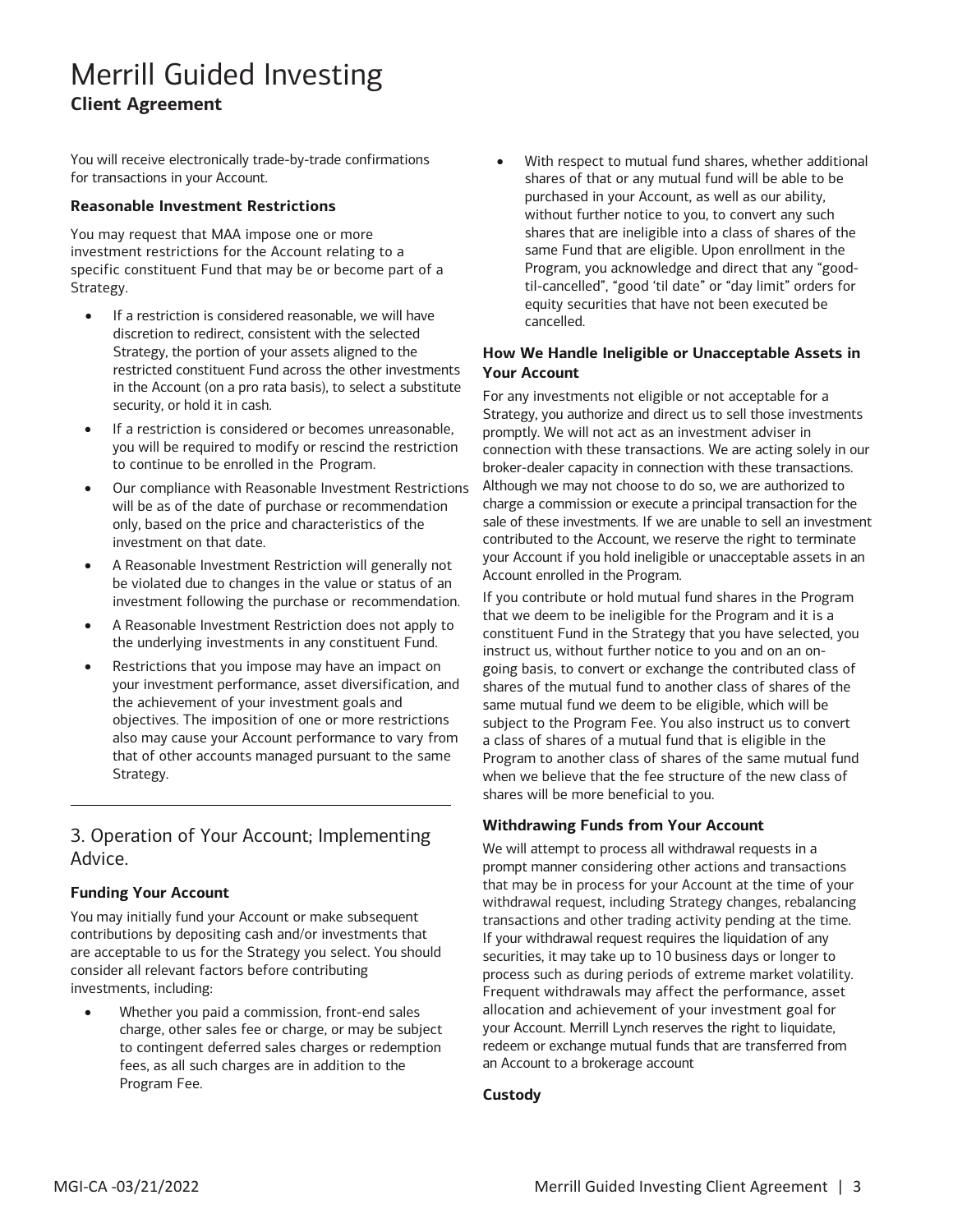You will receive electronically trade-by-trade confirmations for transactions in your Account.

#### **Reasonable Investment Restrictions**

You may request that MAA impose one or more investment restrictions for the Account relating to a specific constituent Fund that may be or become part of a Strategy.

- • If a restriction is considered reasonable, we will have discretion to redirect, consistent with the selected Strategy, the portion of your assets aligned to the restricted constituent Fund across the other investments in the Account (on a pro rata basis), to select a substitute security, or hold it in cash.
- to continue to be enrolled in the Program. If a restriction is considered or becomes unreasonable, you will be required to modify or rescind the restriction
- only, based on the price and characteristics of the • Our compliance with Reasonable Investment Restrictions will be as of the date of purchase or recommendation investment on that date.
- investment following the purchase or recommendation. • A Reasonable Investment Restriction will generally not be violated due to changes in the value or status of an
- A Reasonable Investment Restriction does not apply to the underlying investments in any constituent Fund.
- objectives. The imposition of one or more restrictions also may cause your Account performance to vary from • Restrictions that you impose may have an impact on your investment performance, asset diversification, and the achievement of your investment goals and that of other accounts managed pursuant to the same Strategy.

### 3. Operation of Your Account; Implementing Advice.

#### **Funding Your Account**

 are acceptable to us for the Strategy you select. You should investments, including: You may initially fund your Account or make subsequent contributions by depositing cash and/or investments that consider all relevant factors before contributing

 • Whether you paid a commission, front-end sales charge, other sales fee or charge, or may be subject to contingent deferred sales charges or redemption Program Fee. fees, as all such charges are in addition to the

 shares of that or any mutual fund will be able to be without further notice to you, to convert any such shares that are ineligible into a class of shares of the same Fund that are eligible. Upon enrollment in the  cancelled. With respect to mutual fund shares, whether additional purchased in your Account, as well as our ability, Program, you acknowledge and direct that any "goodtil-cancelled", "good 'til date" or "day limit" orders for equity securities that have not been executed be

#### **How We Handle Ineligible or Unacceptable Assets in Your Account**

 Strategy, you authorize and direct us to sell those investments connection with these transactions. We are acting solely in our sale of these investments. If we are unable to sell an investment contributed to the Account, we reserve the right to terminate your Account if you hold ineligible or unacceptable assets in an Account enrolled in the Program. For any investments not eligible or not acceptable for a promptly. We will not act as an investment adviser in broker-dealer capacity in connection with these transactions. Although we may not choose to do so, we are authorized to charge a commission or execute a principal transaction for the

 instruct us, without further notice to you and on an on- going basis, to convert or exchange the contributed class of shares of the mutual fund to another class of shares of the a class of shares of a mutual fund that is eligible in the Program to another class of shares of the same mutual fund shares will be more beneficial to you. If you contribute or hold mutual fund shares in the Program that we deem to be ineligible for the Program and it is a constituent Fund in the Strategy that you have selected, you same mutual fund we deem to be eligible, which will be subject to the Program Fee. You also instruct us to convert when we believe that the fee structure of the new class of

#### **Withdrawing Funds from Your Account**

 that may be in process for your Account at the time of your withdrawal request, including Strategy changes, rebalancing If your withdrawal request requires the liquidation of any securities, it may take up to 10 business days or longer to your Account. Merrill Lynch reserves the right to liquidate, redeem or exchange mutual funds that are transferred from an Account to a brokerage account We will attempt to process all withdrawal requests in a prompt manner considering other actions and transactions transactions and other trading activity pending at the time. process such as during periods of extreme market volatility. Frequent withdrawals may affect the performance, asset allocation and achievement of your investment goal for

#### **Custody**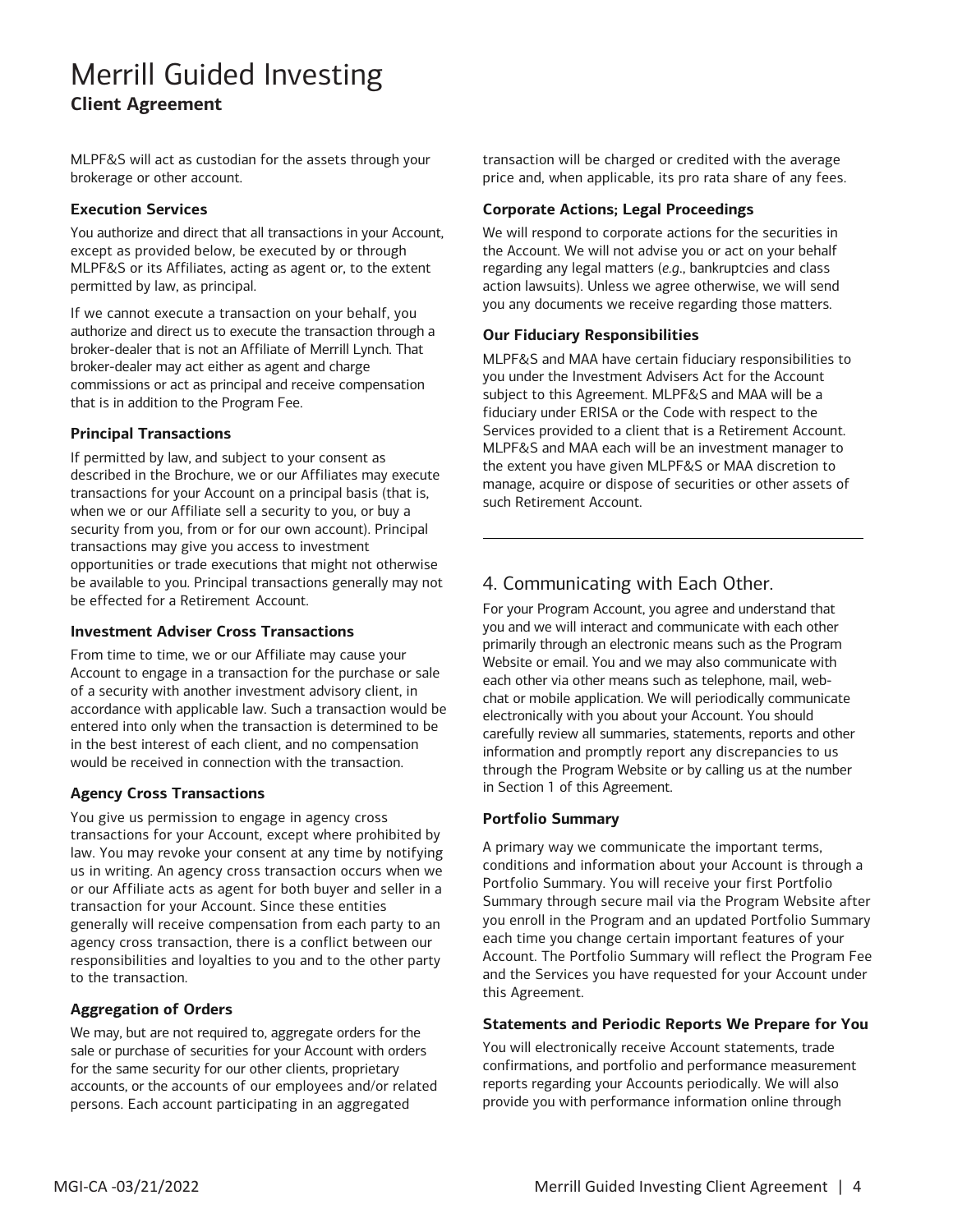MLPF&S will act as custodian for the assets through your brokerage or other account.

#### **Execution Services**

You authorize and direct that all transactions in your Account, except as provided below, be executed by or through MLPF&S or its Affiliates, acting as agent or, to the extent permitted by law, as principal.

 If we cannot execute a transaction on your behalf, you authorize and direct us to execute the transaction through a broker-dealer that is not an Affiliate of Merrill Lynch. That commissions or act as principal and receive compensation broker-dealer may act either as agent and charge that is in addition to the Program Fee.

#### **Principal Transactions**

 when we or our Affiliate sell a security to you, or buy a be effected for a Retirement Account. If permitted by law, and subject to your consent as described in the Brochure, we or our Affiliates may execute transactions for your Account on a principal basis (that is, security from you, from or for our own account). Principal transactions may give you access to investment opportunities or trade executions that might not otherwise be available to you. Principal transactions generally may not

#### **Investment Adviser Cross Transactions**

 Account to engage in a transaction for the purchase or sale accordance with applicable law. Such a transaction would be entered into only when the transaction is determined to be From time to time, we or our Affiliate may cause your of a security with another investment advisory client, in in the best interest of each client, and no compensation would be received in connection with the transaction.

#### **Agency Cross Transactions**

 law. You may revoke your consent at any time by notifying agency cross transaction, there is a conflict between our You give us permission to engage in agency cross transactions for your Account, except where prohibited by us in writing. An agency cross transaction occurs when we or our Affiliate acts as agent for both buyer and seller in a transaction for your Account. Since these entities generally will receive compensation from each party to an responsibilities and loyalties to you and to the other party to the transaction.

#### **Aggregation of Orders**

 sale or purchase of securities for your Account with orders for the same security for our other clients, proprietary accounts, or the accounts of our employees and/or related We may, but are not required to, aggregate orders for the persons. Each account participating in an aggregated

transaction will be charged or credited with the average price and, when applicable, its pro rata share of any fees.

#### **Corporate Actions; Legal Proceedings**

 We will respond to corporate actions for the securities in the Account. We will not advise you or act on your behalf regarding any legal matters (*e.g*., bankruptcies and class action lawsuits). Unless we agree otherwise, we will send you any documents we receive regarding those matters.

#### **Our Fiduciary Responsibilities**

 you under the Investment Advisers Act for the Account subject to this Agreement. MLPF&S and MAA will be a Services provided to a client that is a Retirement Account. the extent you have given MLPF&S or MAA discretion to MLPF&S and MAA have certain fiduciary responsibilities to fiduciary under ERISA or the Code with respect to the MLPF&S and MAA each will be an investment manager to manage, acquire or dispose of securities or other assets of such Retirement Account.

### 4. Communicating with Each Other.

 For your Program Account, you agree and understand that you and we will interact and communicate with each other primarily through an electronic means such as the Program Website or email. You and we may also communicate with chat or mobile application. We will periodically communicate electronically with you about your Account. You should through the Program Website or by calling us at the number each other via other means such as telephone, mail, webcarefully review all summaries, statements, reports and other information and promptly report any discrepancies to us in Section 1 of this Agreement.

#### **Portfolio Summary**

 A primary way we communicate the important terms, Portfolio Summary. You will receive your first Portfolio you enroll in the Program and an updated Portfolio Summary conditions and information about your Account is through a Summary through secure mail via the Program Website after each time you change certain important features of your Account. The Portfolio Summary will reflect the Program Fee and the Services you have requested for your Account under this Agreement.

#### **Statements and Periodic Reports We Prepare for You**

You will electronically receive Account statements, trade confirmations, and portfolio and performance measurement reports regarding your Accounts periodically. We will also provide you with performance information online through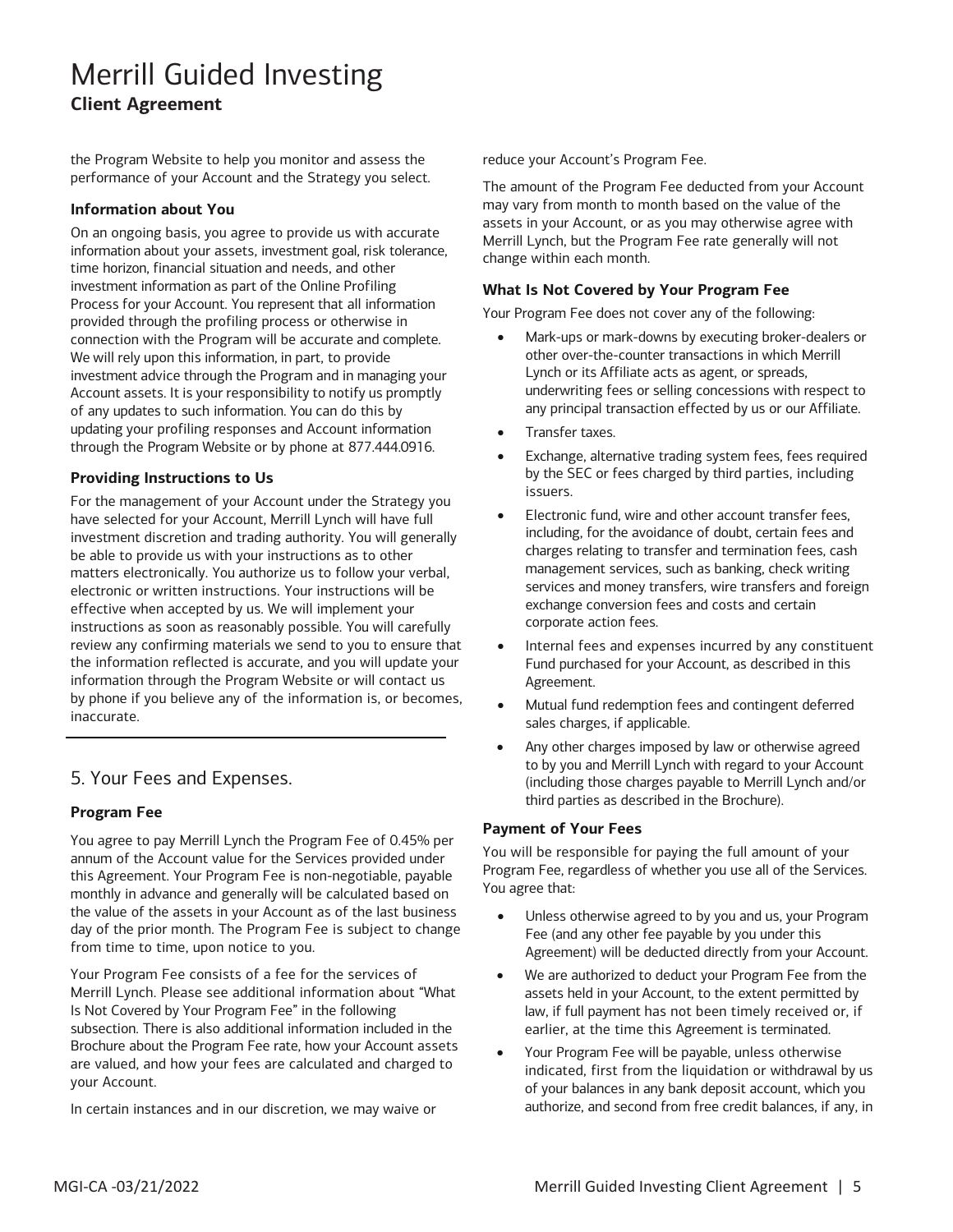the Program Website to help you monitor and assess the performance of your Account and the Strategy you select.

#### **Information about You**

 time horizon, financial situation and needs, and other investment information as part of the Online Profiling Process for your Account. You represent that all information connection with the Program will be accurate and complete. We will rely upon this information, in part, to provide investment advice through the Program and in managing your Account assets. It is your responsibility to notify us promptly updating your profiling responses and Account information On an ongoing basis, you agree to provide us with accurate information about your assets, investment goal, risk tolerance, provided through the profiling process or otherwise in of any updates to such information. You can do this by through the Program Website or by phone at 877.444.0916.

#### **Providing Instructions to Us**

 For the management of your Account under the Strategy you be able to provide us with your instructions as to other instructions as soon as reasonably possible. You will carefully review any confirming materials we send to you to ensure that have selected for your Account, Merrill Lynch will have full investment discretion and trading authority. You will generally matters electronically. You authorize us to follow your verbal, electronic or written instructions. Your instructions will be effective when accepted by us. We will implement your the information reflected is accurate, and you will update your information through the Program Website or will contact us by phone if you believe any of the information is, or becomes, inaccurate.

### 5. Your Fees and Expenses.

#### **Program Fee**

 You agree to pay Merrill Lynch the Program Fee of 0.45% per annum of the Account value for the Services provided under monthly in advance and generally will be calculated based on this Agreement. Your Program Fee is non-negotiable, payable the value of the assets in your Account as of the last business day of the prior month. The Program Fee is subject to change from time to time, upon notice to you.

 Your Program Fee consists of a fee for the services of Merrill Lynch. Please see additional information about "What Is Not Covered by Your Program Fee" in the following subsection. There is also additional information included in the Brochure about the Program Fee rate, how your Account assets are valued, and how your fees are calculated and charged to your Account.

In certain instances and in our discretion, we may waive or

reduce your Account's Program Fee.

 assets in your Account, or as you may otherwise agree with Merrill Lynch, but the Program Fee rate generally will not The amount of the Program Fee deducted from your Account may vary from month to month based on the value of the change within each month.

#### **What Is Not Covered by Your Program Fee**

Your Program Fee does not cover any of the following:

- any principal transaction effected by us or our Affiliate. • Mark-ups or mark-downs by executing broker-dealers or other over-the-counter transactions in which Merrill Lynch or its Affiliate acts as agent, or spreads, underwriting fees or selling concessions with respect to
- Transfer taxes.
- • Exchange, alternative trading system fees, fees required by the SEC or fees charged by third parties, including issuers.
- • Electronic fund, wire and other account transfer fees, management services, such as banking, check writing services and money transfers, wire transfers and foreign exchange conversion fees and costs and certain including, for the avoidance of doubt, certain fees and charges relating to transfer and termination fees, cash corporate action fees.
- Agreement. Internal fees and expenses incurred by any constituent Fund purchased for your Account, as described in this
- • Mutual fund redemption fees and contingent deferred sales charges, if applicable.
- third parties as described in the Brochure). Any other charges imposed by law or otherwise agreed to by you and Merrill Lynch with regard to your Account (including those charges payable to Merrill Lynch and/or

#### **Payment of Your Fees**

 Program Fee, regardless of whether you use all of the Services. You will be responsible for paying the full amount of your You agree that:

- • Unless otherwise agreed to by you and us, your Program Fee (and any other fee payable by you under this Agreement) will be deducted directly from your Account.
- • We are authorized to deduct your Program Fee from the assets held in your Account, to the extent permitted by law, if full payment has not been timely received or, if earlier, at the time this Agreement is terminated.
- • Your Program Fee will be payable, unless otherwise of your balances in any bank deposit account, which you authorize, and second from free credit balances, if any, in indicated, first from the liquidation or withdrawal by us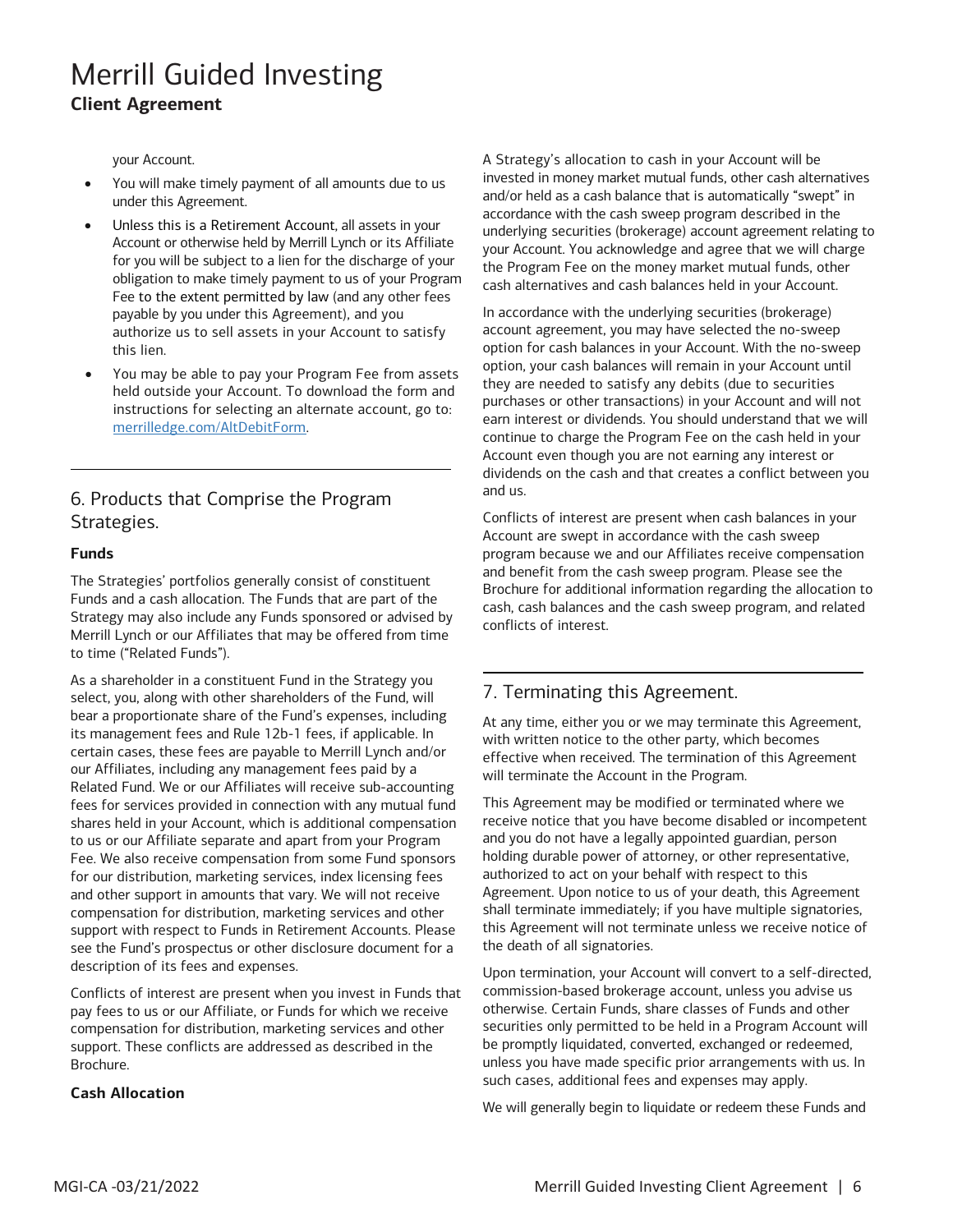your Account.

- • You will make timely payment of all amounts due to us under this Agreement.
- for you will be subject to a lien for the discharge of your obligation to make timely payment to us of your Program Unless this is a Retirement Account, all assets in your Account or otherwise held by Merrill Lynch or its Affiliate Fee to the extent permitted by law (and any other fees payable by you under this Agreement), and you authorize us to sell assets in your Account to satisfy this lien.
- You may be able to pay your Program Fee from assets held outside your Account. To download the form and instructions for selecting an alternate account, go to: [merrilledge.com/AltDebitForm.](http://www.merrilledge.com/AltDebitForm)

### Strategies. 6. Products that Comprise the Program

#### **Funds**

 The Strategies' portfolios generally consist of constituent Strategy may also include any Funds sponsored or advised by Merrill Lynch or our Affiliates that may be offered from time to time ("Related Funds"). Funds and a cash allocation. The Funds that are part of the

 select, you, along with other shareholders of the Fund, will our Affiliates, including any management fees paid by a Related Fund. We or our Affiliates will receive sub-accounting shares held in your Account, which is additional compensation Fee. We also receive compensation from some Fund sponsors and other support in amounts that vary. We will not receive see the Fund's prospectus or other disclosure document for a As a shareholder in a constituent Fund in the Strategy you bear a proportionate share of the Fund's expenses, including its management fees and Rule 12b-1 fees, if applicable. In certain cases, these fees are payable to Merrill Lynch and/or fees for services provided in connection with any mutual fund to us or our Affiliate separate and apart from your Program for our distribution, marketing services, index licensing fees compensation for distribution, marketing services and other support with respect to Funds in Retirement Accounts. Please description of its fees and expenses.

Conflicts of interest are present when you invest in Funds that pay fees to us or our Affiliate, or Funds for which we receive compensation for distribution, marketing services and other support. These conflicts are addressed as described in the Brochure.

#### **Cash Allocation**

 A Strategy's allocation to cash in your Account will be and/or held as a cash balance that is automatically "swept" in underlying securities (brokerage) account agreement relating to your Account. You acknowledge and agree that we will charge invested in money market mutual funds, other cash alternatives accordance with the cash sweep program described in the the Program Fee on the money market mutual funds, other cash alternatives and cash balances held in your Account.

 In accordance with the underlying securities (brokerage) account agreement, you may have selected the no-sweep purchases or other transactions) in your Account and will not earn interest or dividends. You should understand that we will continue to charge the Program Fee on the cash held in your Account even though you are not earning any interest or dividends on the cash and that creates a conflict between you option for cash balances in your Account. With the no-sweep option, your cash balances will remain in your Account until they are needed to satisfy any debits (due to securities and us.

 cash, cash balances and the cash sweep program, and related conflicts of interest. Conflicts of interest are present when cash balances in your Account are swept in accordance with the cash sweep program because we and our Affiliates receive compensation and benefit from the cash sweep program. Please see the Brochure for additional information regarding the allocation to

### 7. Terminating this Agreement.

At any time, either you or we may terminate this Agreement, with written notice to the other party, which becomes effective when received. The termination of this Agreement will terminate the Account in the Program.

 and you do not have a legally appointed guardian, person authorized to act on your behalf with respect to this This Agreement may be modified or terminated where we receive notice that you have become disabled or incompetent holding durable power of attorney, or other representative, Agreement. Upon notice to us of your death, this Agreement shall terminate immediately; if you have multiple signatories, this Agreement will not terminate unless we receive notice of the death of all signatories.

 Upon termination, your Account will convert to a self-directed, commission-based brokerage account, unless you advise us otherwise. Certain Funds, share classes of Funds and other securities only permitted to be held in a Program Account will be promptly liquidated, converted, exchanged or redeemed, unless you have made specific prior arrangements with us. In such cases, additional fees and expenses may apply.

We will generally begin to liquidate or redeem these Funds and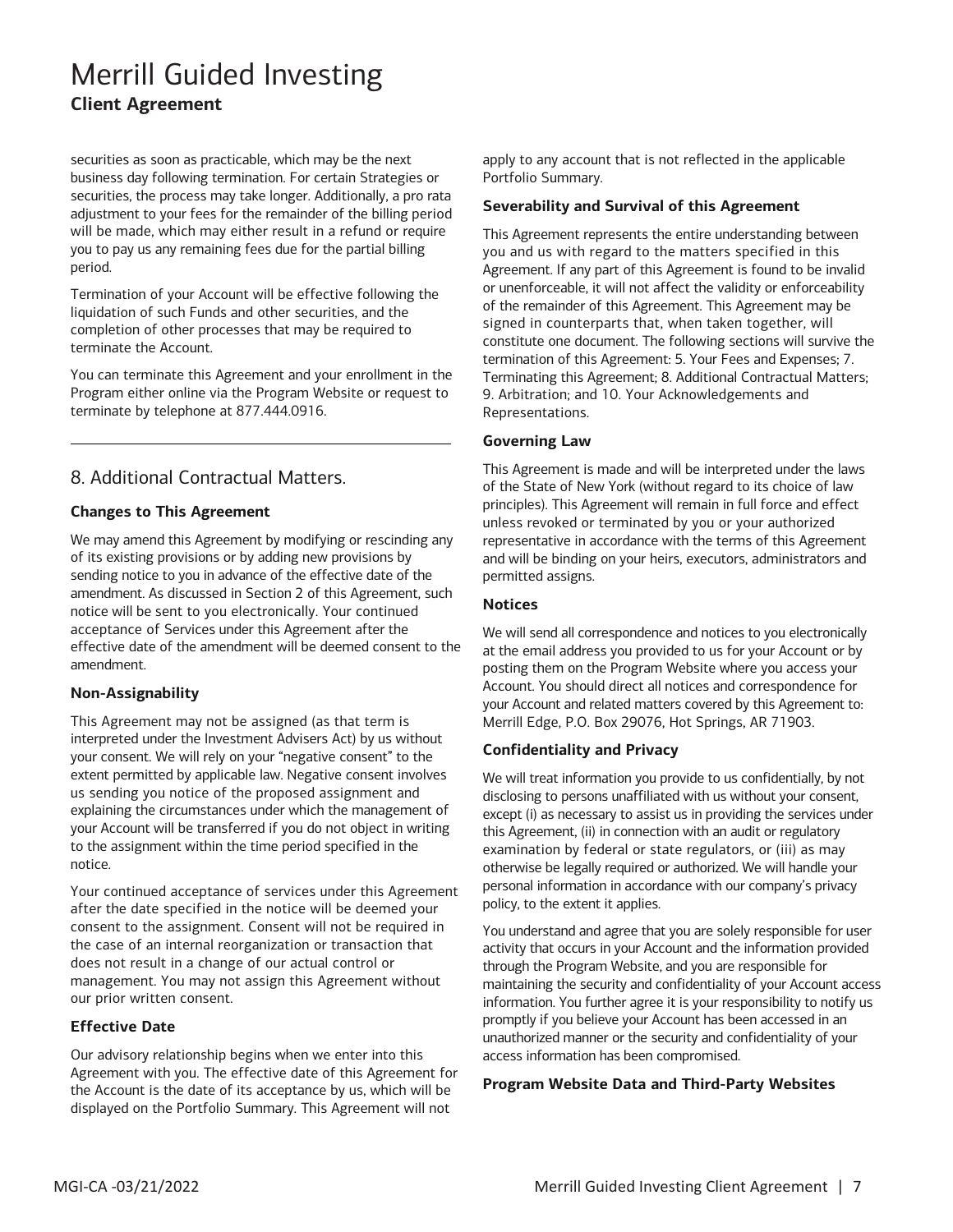securities as soon as practicable, which may be the next business day following termination. For certain Strategies or securities, the process may take longer. Additionally, a pro rata will be made, which may either result in a refund or require you to pay us any remaining fees due for the partial billing period. adjustment to your fees for the remainder of the billing period

period.<br>Termination of your Account will be effective following the liquidation of such Funds and other securities, and the completion of other processes that may be required to terminate the Account.

 You can terminate this Agreement and your enrollment in the Program either online via the Program Website or request to terminate by telephone at 877.444.0916.

### 8. Additional Contractual Matters.

#### **Changes to This Agreement**

 We may amend this Agreement by modifying or rescinding any of its existing provisions or by adding new provisions by acceptance of Services under this Agreement after the effective date of the amendment will be deemed consent to the sending notice to you in advance of the effective date of the amendment. As discussed in Section 2 of this Agreement, such notice will be sent to you electronically. Your continued amendment.

#### **Non-Assignability**

 your consent. We will rely on your "negative consent" to the your Account will be transferred if you do not object in writing This Agreement may not be assigned (as that term is interpreted under the Investment Advisers Act) by us without extent permitted by applicable law. Negative consent involves us sending you notice of the proposed assignment and explaining the circumstances under which the management of to the assignment within the time period specified in the notice.

 Your continued acceptance of services under this Agreement the case of an internal reorganization or transaction that after the date specified in the notice will be deemed your consent to the assignment. Consent will not be required in does not result in a change of our actual control or management. You may not assign this Agreement without our prior written consent.

#### **Effective Date**

 Agreement with you. The effective date of this Agreement for the Account is the date of its acceptance by us, which will be displayed on the Portfolio Summary. This Agreement will not Our advisory relationship begins when we enter into this

apply to any account that is not reflected in the applicable Portfolio Summary.

#### **Severability and Survival of this Agreement**

 This Agreement represents the entire understanding between you and us with regard to the matters specified in this Agreement. If any part of this Agreement is found to be invalid or unenforceable, it will not affect the validity or enforceability of the remainder of this Agreement. This Agreement may be signed in counterparts that, when taken together, will constitute one document. The following sections will survive the termination of this Agreement: 5. Your Fees and Expenses; 7. Terminating this Agreement; 8. Additional Contractual Matters; 9. Arbitration; and 10. Your Acknowledgements and Representations.

#### **Governing Law**

 This Agreement is made and will be interpreted under the laws of the State of New York (without regard to its choice of law principles). This Agreement will remain in full force and effect and will be binding on your heirs, executors, administrators and unless revoked or terminated by you or your authorized representative in accordance with the terms of this Agreement permitted assigns.

#### **Notices**

 at the email address you provided to us for your Account or by Account. You should direct all notices and correspondence for We will send all correspondence and notices to you electronically posting them on the Program Website where you access your your Account and related matters covered by this Agreement to: Merrill Edge, P.O. Box 29076, Hot Springs, AR 71903.

#### **Confidentiality and Privacy**

We will treat information you provide to us confidentially, by not disclosing to persons unaffiliated with us without your consent, except (i) as necessary to assist us in providing the services under this Agreement, (ii) in connection with an audit or regulatory examination by federal or state regulators, or (iii) as may otherwise be legally required or authorized. We will handle your personal information in accordance with our company's privacy policy, to the extent it applies.

 You understand and agree that you are solely responsible for user information. You further agree it is your responsibility to notify us activity that occurs in your Account and the information provided through the Program Website, and you are responsible for maintaining the security and confidentiality of your Account access promptly if you believe your Account has been accessed in an unauthorized manner or the security and confidentiality of your access information has been compromised.

#### **Program Website Data and Third-Party Websites**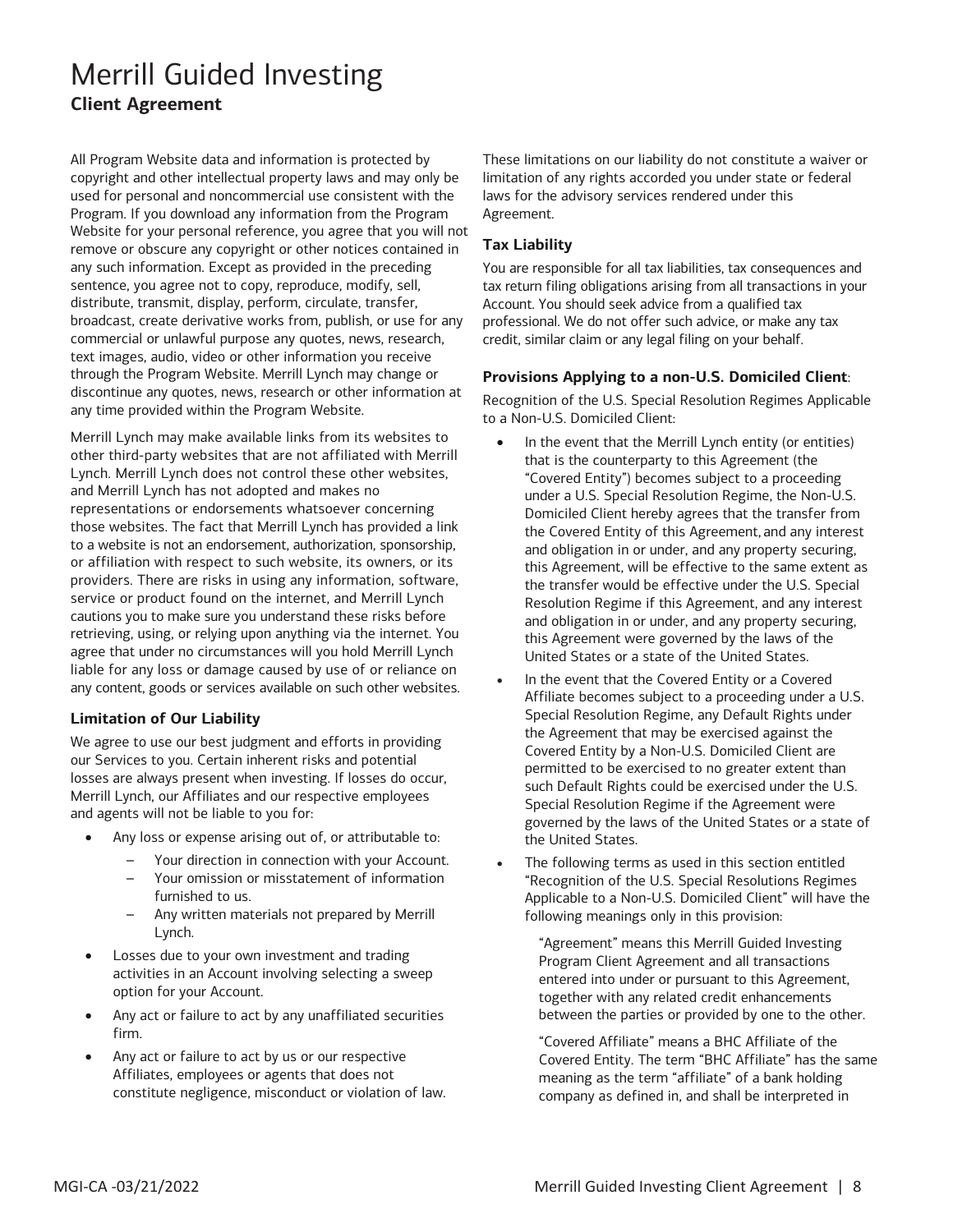used for personal and noncommercial use consistent with the Website for your personal reference, you agree that you will not remove or obscure any copyright or other notices contained in commercial or unlawful purpose any quotes, news, research, All Program Website data and information is protected by copyright and other intellectual property laws and may only be Program. If you download any information from the Program any such information. Except as provided in the preceding sentence, you agree not to copy, reproduce, modify, sell, distribute, transmit, display, perform, circulate, transfer, broadcast, create derivative works from, publish, or use for any text images, audio, video or other information you receive through the Program Website. Merrill Lynch may change or discontinue any quotes, news, research or other information at any time provided within the Program Website.

 to a website is not an endorsement, authorization, sponsorship, providers. There are risks in using any information, software, agree that under no circumstances will you hold Merrill Lynch liable for any loss or damage caused by use of or reliance on Merrill Lynch may make available links from its websites to other third-party websites that are not affiliated with Merrill Lynch. Merrill Lynch does not control these other websites, and Merrill Lynch has not adopted and makes no representations or endorsements whatsoever concerning those websites. The fact that Merrill Lynch has provided a link or affiliation with respect to such website, its owners, or its service or product found on the internet, and Merrill Lynch cautions you to make sure you understand these risks before retrieving, using, or relying upon anything via the internet. You any content, goods or services available on such other websites.

#### **Limitation of Our Liability**

 and agents will not be liable to you for: We agree to use our best judgment and efforts in providing our Services to you. Certain inherent risks and potential losses are always present when investing. If losses do occur, Merrill Lynch, our Affiliates and our respective employees

- • Any loss or expense arising out of, or attributable to:
	- Your direction in connection with your Account.
	- Your omission or misstatement of information furnished to us.
	- Any written materials not prepared by Merrill Lynch.
- • Losses due to your own investment and trading activities in an Account involving selecting a sweep option for your Account.
- Any act or failure to act by any unaffiliated securities firm.
- Affiliates, employees or agents that does not Any act or failure to act by us or our respective constitute negligence, misconduct or violation of law.

 These limitations on our liability do not constitute a waiver or laws for the advisory services rendered under this limitation of any rights accorded you under state or federal Agreement.

#### **Tax Liability**

 You are responsible for all tax liabilities, tax consequences and tax return filing obligations arising from all transactions in your Account. You should seek advice from a qualified tax professional. We do not offer such advice, or make any tax credit, similar claim or any legal filing on your behalf.

#### **Provisions Applying to a non-U.S. Domiciled Client**:

Recognition of the U.S. Special Resolution Regimes Applicable to a Non-U.S. Domiciled Client:

- • In the event that the Merrill Lynch entity (or entities) that is the counterparty to this Agreement (the "Covered Entity") becomes subject to a proceeding this Agreement, will be effective to the same extent as this Agreement were governed by the laws of the United States or a state of the United States. under a U.S. Special Resolution Regime, the Non-U.S. Domiciled Client hereby agrees that the transfer from the Covered Entity of this Agreement, and any interest and obligation in or under, and any property securing, the transfer would be effective under the U.S. Special Resolution Regime if this Agreement, and any interest and obligation in or under, and any property securing,
- the Agreement that may be exercised against the such Default Rights could be exercised under the U.S. Special Resolution Regime if the Agreement were governed by the laws of the United States or a state of In the event that the Covered Entity or a Covered Affiliate becomes subject to a proceeding under a U.S. Special Resolution Regime, any Default Rights under Covered Entity by a Non-U.S. Domiciled Client are permitted to be exercised to no greater extent than the United States.
- • The following terms as used in this section entitled "Recognition of the U.S. Special Resolutions Regimes Applicable to a Non-U.S. Domiciled Client" will have the following meanings only in this provision:

 between the parties or provided by one to the other. "Agreement" means this Merrill Guided Investing Program Client Agreement and all transactions entered into under or pursuant to this Agreement, together with any related credit enhancements

 "Covered Affiliate" means a BHC Affiliate of the Covered Entity. The term "BHC Affiliate" has the same meaning as the term "affiliate" of a bank holding company as defined in, and shall be interpreted in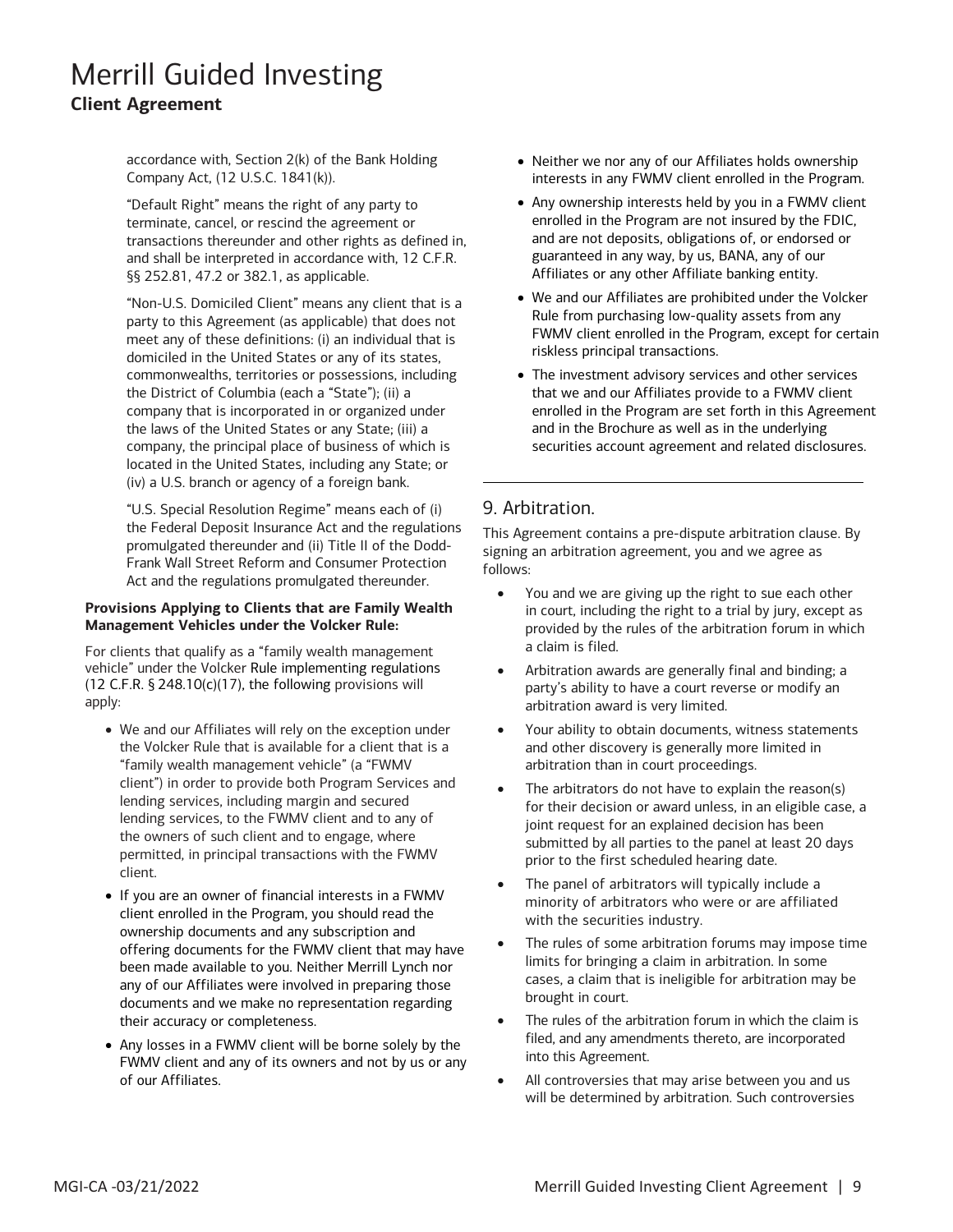accordance with, Section 2(k) of the Bank Holding Company Act, (12 U.S.C. 1841(k)).

 "Default Right" means the right of any party to transactions thereunder and other rights as defined in, terminate, cancel, or rescind the agreement or and shall be interpreted in accordance with, 12 C.F.R. §§ 252.81, 47.2 or 382.1, as applicable.

 "Non-U.S. Domiciled Client" means any client that is a domiciled in the United States or any of its states, company that is incorporated in or organized under company, the principal place of business of which is located in the United States, including any State; or party to this Agreement (as applicable) that does not meet any of these definitions: (i) an individual that is commonwealths, territories or possessions, including the District of Columbia (each a "State"); (ii) a the laws of the United States or any State; (iii) a (iv) a U.S. branch or agency of a foreign bank. accounter that is increased to the distance of the state in the state in the state in the state in the proposition of the state in the state in the state in the state in the state in the state in the state in the state in

"U.S. Special Resolution Regime" means each of (i) the Federal Deposit Insurance Act and the regulations promulgated thereunder and (ii) Title II of the Dodd-Frank Wall Street Reform and Consumer Protection Act and the regulations promulgated thereunder.

#### **Provisions Applying to Clients that are Family Wealth Management Vehicles under the Volcker Rule:**

 For clients that qualify as a "family wealth management vehicle" under the Volcker Rule implementing regulations (12 C.F.R.  $\S$  248.10(c)(17), the following provisions will apply:

- the Volcker Rule that is available for a client that is a lending services, including margin and secured lending services, to the FWMV client and to any of the owners of such client and to engage, where permitted, in principal transactions with the FWMV • We and our Affiliates will rely on the exception under "family wealth management vehicle" (a "FWMV client") in order to provide both Program Services and client.
- ownership documents and any subscription and offering documents for the FWMV client that may have been made available to you. Neither Merrill Lynch nor any of our Affiliates were involved in preparing those their accuracy or completeness. • If you are an owner of financial interests in a FWMV client enrolled in the Program, you should read the documents and we make no representation regarding
- of our Affiliates. • Any losses in a FWMV client will be borne solely by the FWMV client and any of its owners and not by us or any
- Neither we nor any of our Affiliates holds ownership interests in any FWMV client enrolled in the Program.
- • Any ownership interests held by you in a FWMV client enrolled in the Program are not insured by the FDIC, and are not deposits, obligations of, or endorsed or guaranteed in any way, by us, BANA, any of our Affiliates or any other Affiliate banking entity.
- • We and our Affiliates are prohibited under the Volcker Rule from purchasing low-quality assets from any FWMV client enrolled in the Program, except for certain riskless principal transactions.
- enrolled in the Program are set forth in this Agreement • The investment advisory services and other services that we and our Affiliates provide to a FWMV client and in the Brochure as well as in the underlying securities account agreement and related disclosures.

### 9. Arbitration.

This Agreement contains a pre-dispute arbitration clause. By signing an arbitration agreement, you and we agree as follows:

- • You and we are giving up the right to sue each other in court, including the right to a trial by jury, except as provided by the rules of the arbitration forum in which a claim is filed.
- • Arbitration awards are generally final and binding; a party's ability to have a court reverse or modify an arbitration award is very limited.
- • Your ability to obtain documents, witness statements and other discovery is generally more limited in arbitration than in court proceedings.
- The arbitrators do not have to explain the reason(s) for their decision or award unless, in an eligible case, a joint request for an explained decision has been submitted by all parties to the panel at least 20 days prior to the first scheduled hearing date.
- • The panel of arbitrators will typically include a minority of arbitrators who were or are affiliated with the securities industry.
- The rules of some arbitration forums may impose time limits for bringing a claim in arbitration. In some cases, a claim that is ineligible for arbitration may be brought in court.
- • The rules of the arbitration forum in which the claim is filed, and any amendments thereto, are incorporated into this Agreement.
- All controversies that may arise between you and us will be determined by arbitration. Such controversies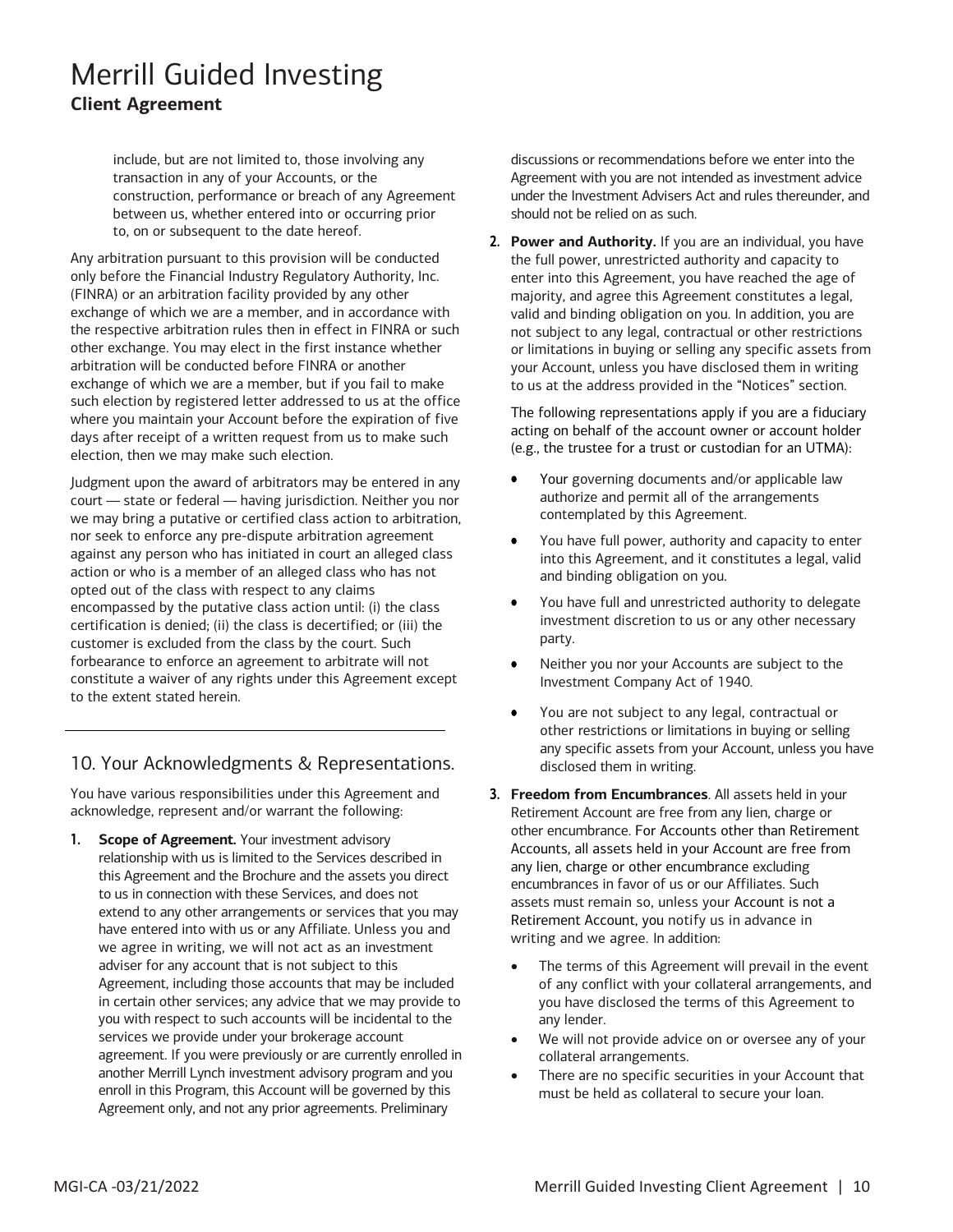construction, performance or breach of any Agreement to, on or subsequent to the date hereof. include, but are not limited to, those involving any transaction in any of your Accounts, or the between us, whether entered into or occurring prior

 the respective arbitration rules then in effect in FINRA or such exchange of which we are a member, but if you fail to make where you maintain your Account before the expiration of five days after receipt of a written request from us to make such election, then we may make such election. Any arbitration pursuant to this provision will be conducted only before the Financial Industry Regulatory Authority, Inc. (FINRA) or an arbitration facility provided by any other exchange of which we are a member, and in accordance with other exchange. You may elect in the first instance whether arbitration will be conducted before FINRA or another such election by registered letter addressed to us at the office

        court — state or federal — having jurisdiction. Neither you nor we may bring a putative or certified class action to arbitration, against any person who has initiated in court an alleged class action or who is a member of an alleged class who has not encompassed by the putative class action until: (i) the class certification is denied; (ii) the class is decertified; or (iii) the customer is excluded from the class by the court. Such forbearance to enforce an agreement to arbitrate will not Judgment upon the award of arbitrators may be entered in any nor seek to enforce any pre-dispute arbitration agreement opted out of the class with respect to any claims constitute a waiver of any rights under this Agreement except to the extent stated herein.

### 10. Your Acknowledgments & Representations.

You have various responsibilities under this Agreement and acknowledge, represent and/or warrant the following:

**1.** Scope of Agreement. Your investment advisory to us in connection with these Services, and does not have entered into with us or any Affiliate. Unless you and Agreement, including those accounts that may be included in certain other services; any advice that we may provide to services we provide under your brokerage account Agreement only, and not any prior agreements. Preliminary relationship with us is limited to the Services described in this Agreement and the Brochure and the assets you direct extend to any other arrangements or services that you may we agree in writing, we will not act as an investment adviser for any account that is not subject to this you with respect to such accounts will be incidental to the agreement. If you were previously or are currently enrolled in another Merrill Lynch investment advisory program and you enroll in this Program, this Account will be governed by this

discussions or recommendations before we enter into the Agreement with you are not intended as investment advice under the Investment Advisers Act and rules thereunder, and should not be relied on as such.

 enter into this Agreement, you have reached the age of valid and binding obligation on you. In addition, you are not subject to any legal, contractual or other restrictions **2. Power and Authority.** If you are an individual, you have the full power, unrestricted authority and capacity to majority, and agree this Agreement constitutes a legal, or limitations in buying or selling any specific assets from your Account, unless you have disclosed them in writing to us at the address provided in the "Notices" section.

 acting on behalf of the account owner or account holder (e.g., the trustee for a trust or custodian for an UTMA): The following representations apply if you are a fiduciary

- Your governing documents and/or applicable law authorize and permit all of the arrangements contemplated by this Agreement.
- • You have full power, authority and capacity to enter into this Agreement, and it constitutes a legal, valid and binding obligation on you.
- • You have full and unrestricted authority to delegate investment discretion to us or any other necessary party.
- Neither you nor your Accounts are subject to the Investment Company Act of 1940.
- any specific assets from your Account, unless you have disclosed them in writing. • You are not subject to any legal, contractual or other restrictions or limitations in buying or selling
- **3. Freedom from Encumbrances**. All assets held in your Retirement Account are free from any lien, charge or other encumbrance. For Accounts other than Retirement assets must remain so, unless your Account is not a Retirement Account, you notify us in advance in Accounts, all assets held in your Account are free from any lien, charge or other encumbrance excluding encumbrances in favor of us or our Affiliates. Such writing and we agree. In addition:
	- • The terms of this Agreement will prevail in the event of any conflict with your collateral arrangements, and you have disclosed the terms of this Agreement to any lender.
	- • We will not provide advice on or oversee any of your collateral arrangements.
	- must be held as collateral to secure your loan. There are no specific securities in your Account that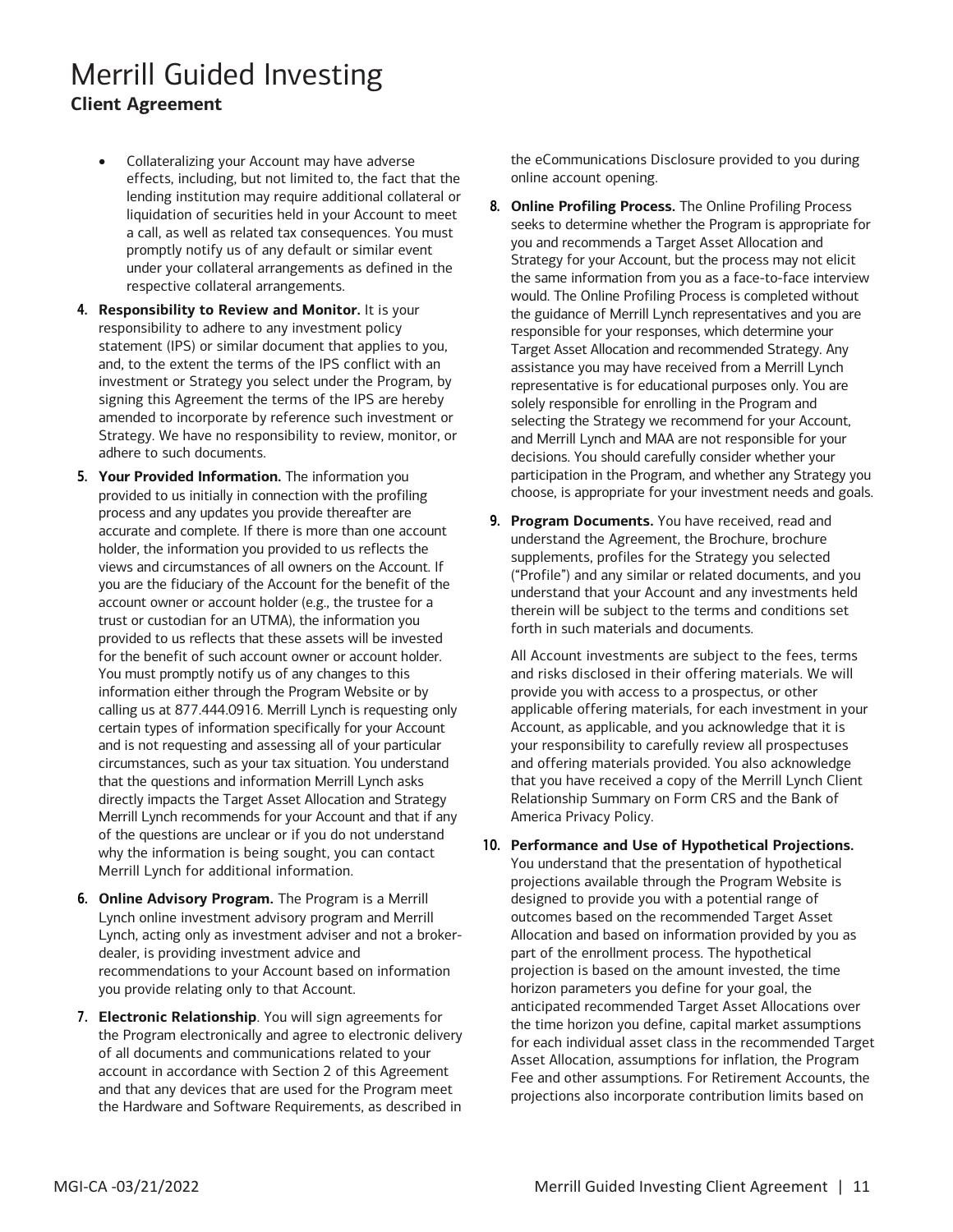- effects, including, but not limited to, the fact that the lending institution may require additional collateral or under your collateral arrangements as defined in the • Collateralizing your Account may have adverse liquidation of securities held in your Account to meet a call, as well as related tax consequences. You must promptly notify us of any default or similar event respective collateral arrangements.
- responsibility to adhere to any investment policy statement (IPS) or similar document that applies to you, and, to the extent the terms of the IPS conflict with an amended to incorporate by reference such investment or **4. Responsibility to Review and Monitor.** It is your investment or Strategy you select under the Program, by signing this Agreement the terms of the IPS are hereby Strategy. We have no responsibility to review, monitor, or adhere to such documents.
- **5. Your Provided Information.** The information you process and any updates you provide thereafter are accurate and complete. If there is more than one account holder, the information you provided to us reflects the views and circumstances of all owners on the Account. If account owner or account holder (e.g., the trustee for a trust or custodian for an UTMA), the information you provided to us reflects that these assets will be invested information either through the Program Website or by calling us at 877.444.0916. Merrill Lynch is requesting only and is not requesting and assessing all of your particular circumstances, such as your tax situation. You understand that the questions and information Merrill Lynch asks directly impacts the Target Asset Allocation and Strategy Merrill Lynch recommends for your Account and that if any of the questions are unclear or if you do not understand provided to us initially in connection with the profiling you are the fiduciary of the Account for the benefit of the for the benefit of such account owner or account holder. You must promptly notify us of any changes to this certain types of information specifically for your Account why the information is being sought, you can contact Merrill Lynch for additional information.
- **6. Online Advisory Program.** The Program is a Merrill Lynch online investment advisory program and Merrill Lynch, acting only as investment adviser and not a brokerdealer, is providing investment advice and recommendations to your Account based on information you provide relating only to that Account.
- **7. Electronic Relationship**. You will sign agreements for the Program electronically and agree to electronic delivery of all documents and communications related to your account in accordance with Section 2 of this Agreement and that any devices that are used for the Program meet the Hardware and Software Requirements, as described in

 the eCommunications Disclosure provided to you during online account opening.

- you and recommends a Target Asset Allocation and Strategy for your Account, but the process may not elicit the same information from you as a face-to-face interview the guidance of Merrill Lynch representatives and you are representative is for educational purposes only. You are solely responsible for enrolling in the Program and and Merrill Lynch and MAA are not responsible for your decisions. You should carefully consider whether your participation in the Program, and whether any Strategy you choose, is appropriate for your investment needs and goals. **8. Online Profiling Process.** The Online Profiling Process seeks to determine whether the Program is appropriate for would. The Online Profiling Process is completed without responsible for your responses, which determine your Target Asset Allocation and recommended Strategy. Any assistance you may have received from a Merrill Lynch selecting the Strategy we recommend for your Account,
- ("Profile") and any similar or related documents, and you understand that your Account and any investments held therein will be subject to the terms and conditions set **9. Program Documents.** You have received, read and understand the Agreement, the Brochure, brochure supplements, profiles for the Strategy you selected forth in such materials and documents.

 provide you with access to a prospectus, or other Relationship Summary on Form CRS and the Bank of All Account investments are subject to the fees, terms and risks disclosed in their offering materials. We will applicable offering materials, for each investment in your Account, as applicable, and you acknowledge that it is your responsibility to carefully review all prospectuses and offering materials provided. You also acknowledge that you have received a copy of the Merrill Lynch Client America Privacy Policy.

#### **10. Performance and Use of Hypothetical Projections.**

 projections available through the Program Website is anticipated recommended Target Asset Allocations over for each individual asset class in the recommended Target projections also incorporate contribution limits based on You understand that the presentation of hypothetical designed to provide you with a potential range of outcomes based on the recommended Target Asset Allocation and based on information provided by you as part of the enrollment process. The hypothetical projection is based on the amount invested, the time horizon parameters you define for your goal, the the time horizon you define, capital market assumptions Asset Allocation, assumptions for inflation, the Program Fee and other assumptions. For Retirement Accounts, the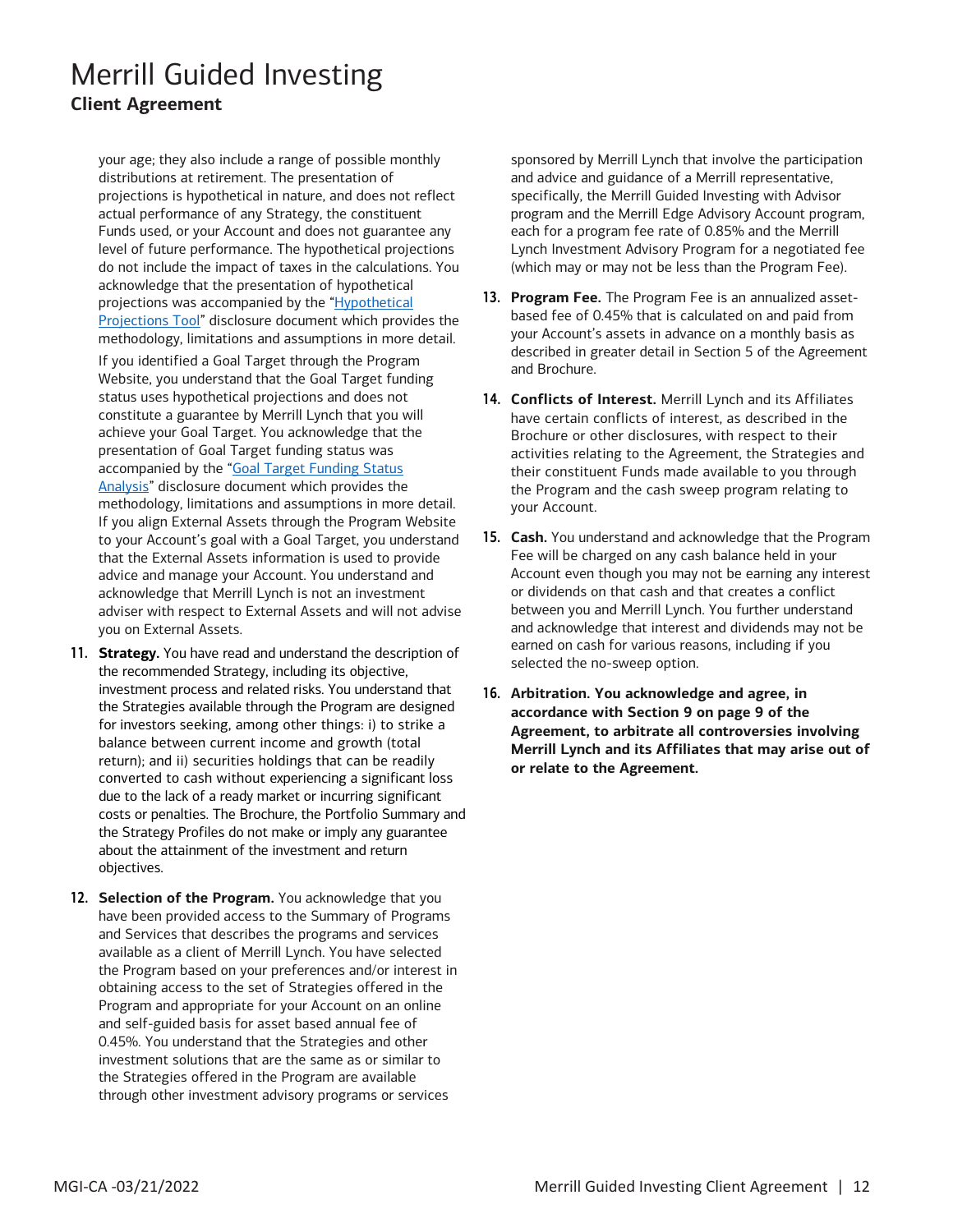distributions at retirement. The presentation of Funds used, or your Account and does not guarantee any do not include the impact of taxes in the calculations. You methodology, limitations and assumptions in more detail. your age; they also include a range of possible monthly projections is hypothetical in nature, and does not reflect actual performance of any Strategy, the constituent level of future performance. The hypothetical projections acknowledge that the presentation of hypothetical projections was accompanied by the "Hypothetical [Projections Tool"](https://oaui.fs.ml.com/Publish/Content/application/pdf/GWMOL/Merrill-Edge-Guided-Investing-Hypothetical-Projections-Drawdown.pdf) disclosure document which provides the

 achieve your Goal Target. You acknowledge that the presentation of Goal Target funding status was that the External Assets information is used to provide advice and manage your Account. You understand and If you identified a Goal Target through the Program Website, you understand that the Goal Target funding status uses hypothetical projections and does not constitute a guarantee by Merrill Lynch that you will accompanied by the "Goal Target Funding Status [Analysis"](https://oaui.fs.ml.com/Publish/Content/application/pdf/GWMOL/Merrill-Guided-Investing-GFS.pdf) disclosure document which provides the methodology, limitations and assumptions in more detail. If you align External Assets through the Program Website to your Account's goal with a Goal Target, you understand acknowledge that Merrill Lynch is not an investment adviser with respect to External Assets and will not advise you on External Assets.

- investment process and related risks. You understand that for investors seeking, among other things: i) to strike a converted to cash without experiencing a significant loss due to the lack of a ready market or incurring significant costs or penalties. The Brochure, the Portfolio Summary and the Strategy Profiles do not make or imply any guarantee about the attainment of the investment and return **11. Strategy.** You have read and understand the description of the recommended Strategy, including its objective, the Strategies available through the Program are designed balance between current income and growth (total return); and ii) securities holdings that can be readily objectives.
- and Services that describes the programs and services available as a client of Merrill Lynch. You have selected obtaining access to the set of Strategies offered in the 0.45%. You understand that the Strategies and other investment solutions that are the same as or similar to **12. Selection of the Program.** You acknowledge that you have been provided access to the Summary of Programs the Program based on your preferences and/or interest in Program and appropriate for your Account on an online and self-guided basis for asset based annual fee of the Strategies offered in the Program are available through other investment advisory programs or services

 (which may or may not be less than the Program Fee). sponsored by Merrill Lynch that involve the participation and advice and guidance of a Merrill representative, specifically, the Merrill Guided Investing with Advisor program and the Merrill Edge Advisory Account program, each for a program fee rate of 0.85% and the Merrill Lynch Investment Advisory Program for a negotiated fee

- your Account's assets in advance on a monthly basis as and Brochure. **13. Program Fee.** The Program Fee is an annualized assetbased fee of 0.45% that is calculated on and paid from described in greater detail in Section 5 of the Agreement
- **14. Conflicts of Interest.** Merrill Lynch and its Affiliates have certain conflicts of interest, as described in the Brochure or other disclosures, with respect to their activities relating to the Agreement, the Strategies and their constituent Funds made available to you through the Program and the cash sweep program relating to your Account.
- or dividends on that cash and that creates a conflict **15. Cash.** You understand and acknowledge that the Program Fee will be charged on any cash balance held in your Account even though you may not be earning any interest between you and Merrill Lynch. You further understand and acknowledge that interest and dividends may not be earned on cash for various reasons, including if you selected the no-sweep option.
- **16. Arbitration. You acknowledge and agree, in accordance with Section 9 on page 9 of the Merrill Lynch and its Affiliates that may arise out of Agreement, to arbitrate all controversies involving or relate to the Agreement.**